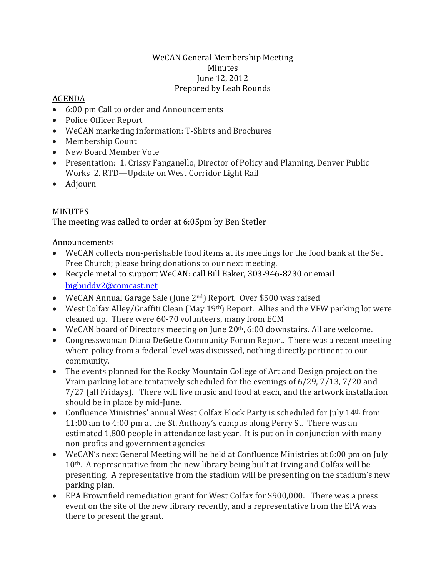## WeCAN General Membership Meeting Minutes June 12, 2012 Prepared by Leah Rounds

## AGENDA

- 6:00 pm Call to order and Announcements
- Police Officer Report
- WeCAN marketing information: T-Shirts and Brochures
- Membership Count
- New Board Member Vote
- Presentation: 1. Crissy Fanganello, Director of Policy and Planning, Denver Public Works 2. RTD—Update on West Corridor Light Rail
- Adjourn

## MINUTES

The meeting was called to order at 6:05pm by Ben Stetler

## Announcements

- WeCAN collects non-perishable food items at its meetings for the food bank at the Set Free Church; please bring donations to our next meeting.
- Recycle metal to support WeCAN: call Bill Baker, 303-946-8230 or email [bigbuddy2@comcast.net](mailto:bigbuddy2@comcast.net)
- WeCAN Annual Garage Sale (June 2<sup>nd</sup>) Report. Over \$500 was raised
- West Colfax Alley/Graffiti Clean (May 19<sup>th</sup>) Report. Allies and the VFW parking lot were cleaned up. There were 60-70 volunteers, many from ECM
- WeCAN board of Directors meeting on June 20<sup>th</sup>, 6:00 downstairs. All are welcome.
- Congresswoman Diana DeGette Community Forum Report. There was a recent meeting where policy from a federal level was discussed, nothing directly pertinent to our community.
- The events planned for the Rocky Mountain College of Art and Design project on the Vrain parking lot are tentatively scheduled for the evenings of 6/29, 7/13, 7/20 and 7/27 (all Fridays). There will live music and food at each, and the artwork installation should be in place by mid-June.
- Confluence Ministries' annual West Colfax Block Party is scheduled for July 14<sup>th</sup> from 11:00 am to 4:00 pm at the St. Anthony's campus along Perry St. There was an estimated 1,800 people in attendance last year. It is put on in conjunction with many non-profits and government agencies
- WeCAN's next General Meeting will be held at Confluence Ministries at 6:00 pm on July 10th. A representative from the new library being built at Irving and Colfax will be presenting. A representative from the stadium will be presenting on the stadium's new parking plan.
- EPA Brownfield remediation grant for West Colfax for \$900,000. There was a press event on the site of the new library recently, and a representative from the EPA was there to present the grant.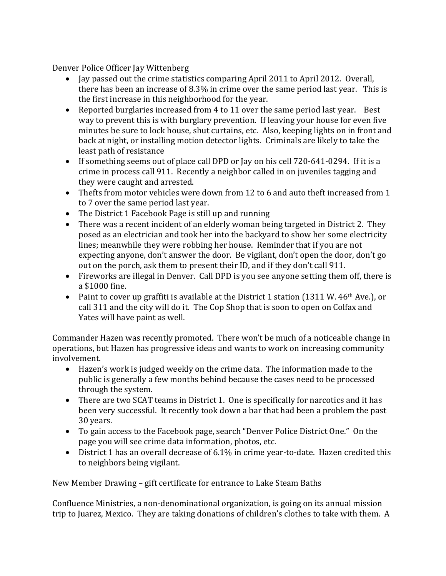Denver Police Officer Jay Wittenberg

- Jay passed out the crime statistics comparing April 2011 to April 2012. Overall, there has been an increase of 8.3% in crime over the same period last year. This is the first increase in this neighborhood for the year.
- Reported burglaries increased from 4 to 11 over the same period last year. Best way to prevent this is with burglary prevention. If leaving your house for even five minutes be sure to lock house, shut curtains, etc. Also, keeping lights on in front and back at night, or installing motion detector lights. Criminals are likely to take the least path of resistance
- If something seems out of place call DPD or Jay on his cell 720-641-0294. If it is a crime in process call 911. Recently a neighbor called in on juveniles tagging and they were caught and arrested.
- Thefts from motor vehicles were down from 12 to 6 and auto theft increased from 1 to 7 over the same period last year.
- The District 1 Facebook Page is still up and running
- There was a recent incident of an elderly woman being targeted in District 2. They posed as an electrician and took her into the backyard to show her some electricity lines; meanwhile they were robbing her house. Reminder that if you are not expecting anyone, don't answer the door. Be vigilant, don't open the door, don't go out on the porch, ask them to present their ID, and if they don't call 911.
- Fireworks are illegal in Denver. Call DPD is you see anyone setting them off, there is a \$1000 fine.
- Paint to cover up graffiti is available at the District 1 station (1311 W. 46<sup>th</sup> Ave.), or call 311 and the city will do it. The Cop Shop that is soon to open on Colfax and Yates will have paint as well.

Commander Hazen was recently promoted. There won't be much of a noticeable change in operations, but Hazen has progressive ideas and wants to work on increasing community involvement.

- Hazen's work is judged weekly on the crime data. The information made to the public is generally a few months behind because the cases need to be processed through the system.
- There are two SCAT teams in District 1. One is specifically for narcotics and it has been very successful. It recently took down a bar that had been a problem the past 30 years.
- To gain access to the Facebook page, search "Denver Police District One." On the page you will see crime data information, photos, etc.
- District 1 has an overall decrease of 6.1% in crime year-to-date. Hazen credited this to neighbors being vigilant.

New Member Drawing – gift certificate for entrance to Lake Steam Baths

Confluence Ministries, a non-denominational organization, is going on its annual mission trip to Juarez, Mexico. They are taking donations of children's clothes to take with them. A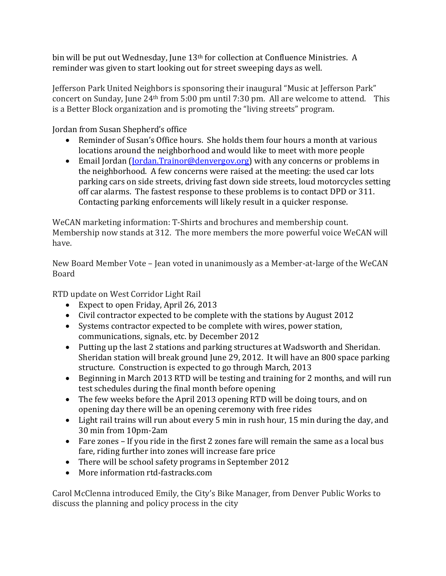bin will be put out Wednesday, June  $13<sup>th</sup>$  for collection at Confluence Ministries. A reminder was given to start looking out for street sweeping days as well.

Jefferson Park United Neighbors is sponsoring their inaugural "Music at Jefferson Park" concert on Sunday, June 24th from 5:00 pm until 7:30 pm. All are welcome to attend. This is a Better Block organization and is promoting the "living streets" program.

Jordan from Susan Shepherd's office

- Reminder of Susan's Office hours. She holds them four hours a month at various locations around the neighborhood and would like to meet with more people
- Email Jordan [\(Jordan.Trainor@denvergov.org\)](mailto:Jordan.Trainor@denvergov.org) with any concerns or problems in the neighborhood. A few concerns were raised at the meeting: the used car lots parking cars on side streets, driving fast down side streets, loud motorcycles setting off car alarms. The fastest response to these problems is to contact DPD or 311. Contacting parking enforcements will likely result in a quicker response.

WeCAN marketing information: T-Shirts and brochures and membership count. Membership now stands at 312. The more members the more powerful voice WeCAN will have.

New Board Member Vote – Jean voted in unanimously as a Member-at-large of the WeCAN Board

RTD update on West Corridor Light Rail

- Expect to open Friday, April 26, 2013
- Civil contractor expected to be complete with the stations by August 2012
- Systems contractor expected to be complete with wires, power station, communications, signals, etc. by December 2012
- Putting up the last 2 stations and parking structures at Wadsworth and Sheridan. Sheridan station will break ground June 29, 2012. It will have an 800 space parking structure. Construction is expected to go through March, 2013
- Beginning in March 2013 RTD will be testing and training for 2 months, and will run test schedules during the final month before opening
- The few weeks before the April 2013 opening RTD will be doing tours, and on opening day there will be an opening ceremony with free rides
- Light rail trains will run about every 5 min in rush hour, 15 min during the day, and 30 min from 10pm-2am
- Fare zones If you ride in the first 2 zones fare will remain the same as a local bus fare, riding further into zones will increase fare price
- There will be school safety programs in September 2012
- More information rtd-fastracks.com

Carol McClenna introduced Emily, the City's Bike Manager, from Denver Public Works to discuss the planning and policy process in the city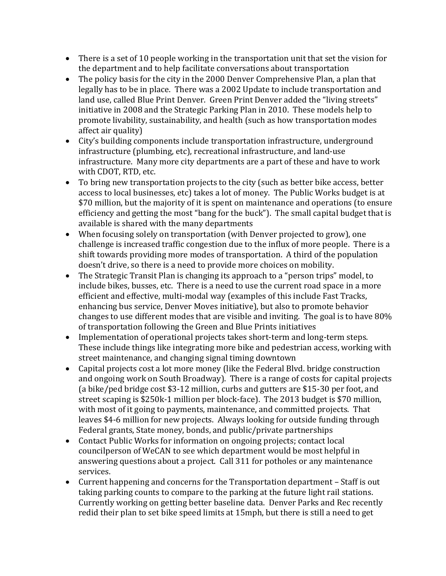- There is a set of 10 people working in the transportation unit that set the vision for the department and to help facilitate conversations about transportation
- The policy basis for the city in the 2000 Denver Comprehensive Plan, a plan that legally has to be in place. There was a 2002 Update to include transportation and land use, called Blue Print Denver. Green Print Denver added the "living streets" initiative in 2008 and the Strategic Parking Plan in 2010. These models help to promote livability, sustainability, and health (such as how transportation modes affect air quality)
- City's building components include transportation infrastructure, underground infrastructure (plumbing, etc), recreational infrastructure, and land-use infrastructure. Many more city departments are a part of these and have to work with CDOT, RTD, etc.
- To bring new transportation projects to the city (such as better bike access, better access to local businesses, etc) takes a lot of money. The Public Works budget is at \$70 million, but the majority of it is spent on maintenance and operations (to ensure efficiency and getting the most "bang for the buck"). The small capital budget that is available is shared with the many departments
- When focusing solely on transportation (with Denver projected to grow), one challenge is increased traffic congestion due to the influx of more people. There is a shift towards providing more modes of transportation. A third of the population doesn't drive, so there is a need to provide more choices on mobility.
- The Strategic Transit Plan is changing its approach to a "person trips" model, to include bikes, busses, etc. There is a need to use the current road space in a more efficient and effective, multi-modal way (examples of this include Fast Tracks, enhancing bus service, Denver Moves initiative), but also to promote behavior changes to use different modes that are visible and inviting. The goal is to have 80% of transportation following the Green and Blue Prints initiatives
- Implementation of operational projects takes short-term and long-term steps. These include things like integrating more bike and pedestrian access, working with street maintenance, and changing signal timing downtown
- Capital projects cost a lot more money (like the Federal Blvd. bridge construction and ongoing work on South Broadway). There is a range of costs for capital projects (a bike/ped bridge cost \$3-12 million, curbs and gutters are \$15-30 per foot, and street scaping is \$250k-1 million per block-face). The 2013 budget is \$70 million, with most of it going to payments, maintenance, and committed projects. That leaves \$4-6 million for new projects. Always looking for outside funding through Federal grants, State money, bonds, and public/private partnerships
- Contact Public Works for information on ongoing projects; contact local councilperson of WeCAN to see which department would be most helpful in answering questions about a project. Call 311 for potholes or any maintenance services.
- Current happening and concerns for the Transportation department Staff is out taking parking counts to compare to the parking at the future light rail stations. Currently working on getting better baseline data. Denver Parks and Rec recently redid their plan to set bike speed limits at 15mph, but there is still a need to get